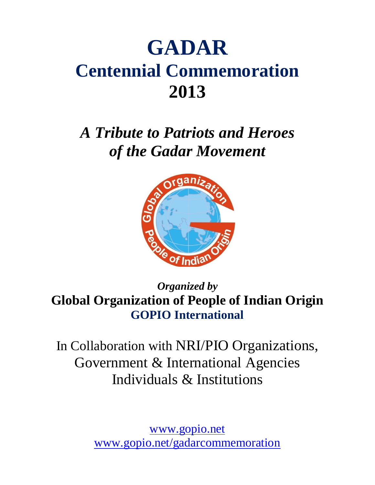# **GADAR Centennial Commemoration 2013**

*A Tribute to Patriots and Heroes of the Gadar Movement*



*Organized by* **Global Organization of People of Indian Origin GOPIO International**

In Collaboration with NRI/PIO Organizations, Government & International Agencies Individuals & Institutions

> [www.gopio.net](http://www.gopio.net/) [www.gopio.net/gadarcommemoration](http://www.gopio.net/gadarcommemoration)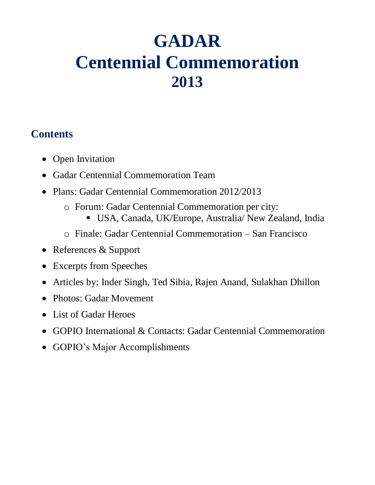# **GADAR Centennial Commemoration 2013**

# **Contents**

- Open Invitation
- Gadar Centennial Commemoration Team
- Plans: Gadar Centennial Commemoration 2012/2013
	- o Forum: Gadar Centennial Commemoration per city:
		- USA, Canada, UK/Europe, Australia/ New Zealand, India
	- o Finale: Gadar Centennial Commemoration San Francisco
- References & Support
- Excerpts from Speeches
- Articles by: Inder Singh, Ted Sibia, Rajen Anand, Sulakhan Dhillon
- Photos: Gadar Movement
- List of Gadar Heroes
- GOPIO International & Contacts: Gadar Centennial Commemoration
- GOPIO's Major Accomplishments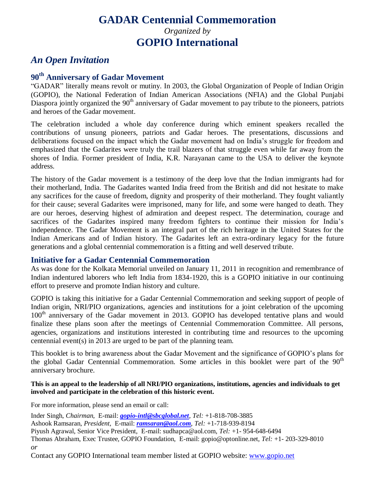# **GADAR Centennial Commemoration** *Organized by* **GOPIO International**

### *An Open Invitation*

## **90th Anniversary of Gadar Movement**

"GADAR" literally means revolt or mutiny. In 2003, the Global Organization of People of Indian Origin (GOPIO), the National Federation of Indian American Associations (NFIA) and the Global Punjabi Diaspora jointly organized the  $90<sup>th</sup>$  anniversary of Gadar movement to pay tribute to the pioneers, patriots and heroes of the Gadar movement.

The celebration included a whole day conference during which eminent speakers recalled the contributions of unsung pioneers, patriots and Gadar heroes. The presentations, discussions and deliberations focused on the impact which the Gadar movement had on India"s struggle for freedom and emphasized that the Gadarites were truly the trail blazers of that struggle even while far away from the shores of India. Former president of India, K.R. Narayanan came to the USA to deliver the keynote address.

The history of the Gadar movement is a testimony of the deep love that the Indian immigrants had for their motherland, India. The Gadarites wanted India freed from the British and did not hesitate to make any sacrifices for the cause of freedom, dignity and prosperity of their motherland. They fought valiantly for their cause; several Gadarites were imprisoned, many for life, and some were hanged to death. They are our heroes, deserving highest of admiration and deepest respect. The determination, courage and sacrifices of the Gadarites inspired many freedom fighters to continue their mission for India"s independence. The Gadar Movement is an integral part of the rich heritage in the United States for the Indian Americans and of Indian history. The Gadarites left an extra-ordinary legacy for the future generations and a global centennial commemoration is a fitting and well deserved tribute.

#### **Initiative for a Gadar Centennial Commemoration**

As was done for the Kolkata Memorial unveiled on January 11, 2011 in recognition and remembrance of Indian indentured laborers who left India from 1834-1920, this is a GOPIO initiative in our continuing effort to preserve and promote Indian history and culture.

GOPIO is taking this initiative for a Gadar Centennial Commemoration and seeking support of people of Indian origin, NRI/PIO organizations, agencies and institutions for a joint celebration of the upcoming  $100<sup>th</sup>$  anniversary of the Gadar movement in 2013. GOPIO has developed tentative plans and would finalize these plans soon after the meetings of Centennial Commemoration Committee. All persons, agencies, organizations and institutions interested in contributing time and resources to the upcoming centennial event(s) in 2013 are urged to be part of the planning team.

This booklet is to bring awareness about the Gadar Movement and the significance of GOPIO"s plans for the global Gadar Centennial Commemoration. Some articles in this booklet were part of the  $90<sup>th</sup>$ anniversary brochure.

#### **This is an appeal to the leadership of all NRI/PIO organizations, institutions, agencies and individuals to get involved and participate in the celebration of this historic event.**

For more information, please send an email or call:

Inder Singh, *Chairman,* E-mail: *[gopio-intl@sbcglobal.net](mailto:gopio-intl@sbcglobal.net), Tel:* +1-818-708-3885 Ashook Ramsaran, *President,* E-mail: *[ramsaran@aol.com](mailto:ramsaran@aol.com)*, *Tel:* +1-718-939-8194 Piyush Agrawal, Senior Vice President, E-mail: sudhapca@aol.com, *Tel:* +1- 954-648-6494 Thomas Abraham, Exec Trustee, GOPIO Foundation, E-mail: gopio@optonline.net, *Tel:* +1- 203-329-8010 *or*

Contact any GOPIO International team member listed at GOPIO website: [www.gopio.net](http://www.gopio.net/)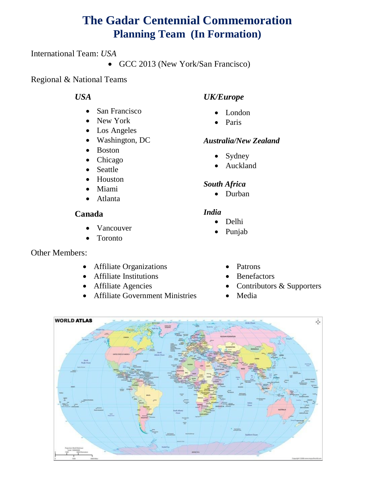# **The Gadar Centennial Commemoration Planning Team (In Formation)**

International Team: *USA*

• GCC 2013 (New York/San Francisco)

Regional & National Teams

### *USA*

- San Francisco
- New York
- Los Angeles
- Washington, DC
- Boston
- Chicago
- Seattle
- Houston
- Miami
- Atlanta

### **Canada**

- Vancouver
- Toronto

### Other Members:

- Affiliate Organizations
- Affiliate Institutions
- Affiliate Agencies
- Affiliate Government Ministries

### *UK/Europe*

- London
- Paris

### *Australia/New Zealand*

- Sydney
- Auckland

### *South Africa*

• Durban

### *India*

- Delhi
- Punjab
	- Patrons
	- Benefactors
	- Contributors & Supporters
	- Media

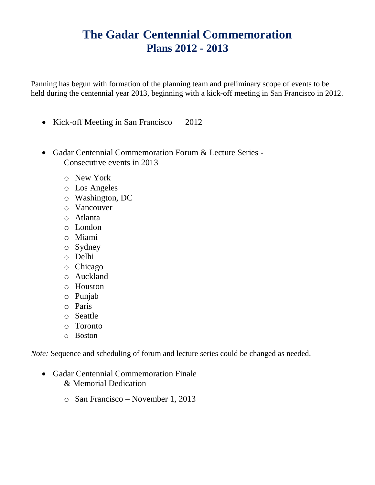# **The Gadar Centennial Commemoration Plans 2012 - 2013**

Panning has begun with formation of the planning team and preliminary scope of events to be held during the centennial year 2013, beginning with a kick-off meeting in San Francisco in 2012.

- Kick-off Meeting in San Francisco 2012
- Gadar Centennial Commemoration Forum & Lecture Series Consecutive events in 2013
	- o New York
	- o Los Angeles
	- o Washington, DC
	- o Vancouver
	- o Atlanta
	- o London
	- o Miami
	- o Sydney
	- o Delhi
	- o Chicago
	- o Auckland
	- o Houston
	- o Punjab
	- o Paris
	- o Seattle
	- o Toronto
	- o Boston

*Note:* Sequence and scheduling of forum and lecture series could be changed as needed.

- Gadar Centennial Commemoration Finale & Memorial Dedication
	- o San Francisco November 1, 2013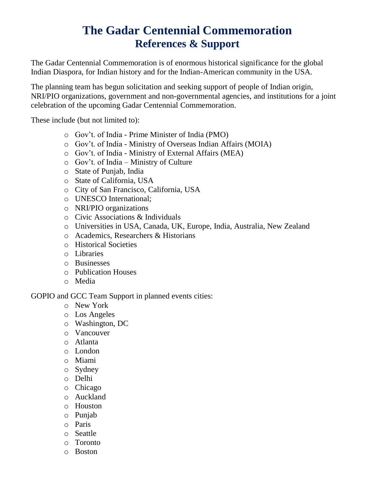# **The Gadar Centennial Commemoration References & Support**

The Gadar Centennial Commemoration is of enormous historical significance for the global Indian Diaspora, for Indian history and for the Indian-American community in the USA.

The planning team has begun solicitation and seeking support of people of Indian origin, NRI/PIO organizations, government and non-governmental agencies, and institutions for a joint celebration of the upcoming Gadar Centennial Commemoration.

These include (but not limited to):

- o Gov"t. of India Prime Minister of India (PMO)
- o Gov"t. of India Ministry of Overseas Indian Affairs (MOIA)
- o Gov"t. of India Ministry of External Affairs (MEA)
- o Gov"t. of India Ministry of Culture
- o State of Punjab, India
- o State of California, USA
- o City of San Francisco, California, USA
- o UNESCO International;
- o NRI/PIO organizations
- o Civic Associations & Individuals
- o Universities in USA, Canada, UK, Europe, India, Australia, New Zealand
- o Academics, Researchers & Historians
- o Historical Societies
- o Libraries
- o Businesses
- o Publication Houses
- o Media

GOPIO and GCC Team Support in planned events cities:

- o New York
- o Los Angeles
- o Washington, DC
- o Vancouver
- o Atlanta
- o London
- o Miami
- o Sydney
- o Delhi
- o Chicago
- o Auckland
- o Houston
- o Punjab
- o Paris
- o Seattle
- o Toronto
- o Boston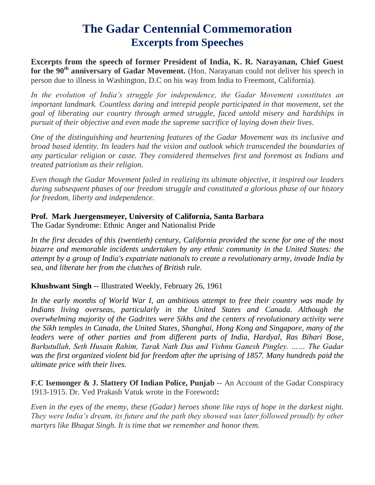# **The Gadar Centennial Commemoration Excerpts from Speeches**

**Excerpts from the speech of former President of India, K. R. Narayanan, Chief Guest for the 90th anniversary of Gadar Movement.** (Hon. Narayanan could not deliver his speech in person due to illness in Washington, D.C on his way from India to Freemont, California).

*In the evolution of India's struggle for independence, the Gadar Movement constitutes an important landmark. Countless daring and intrepid people participated in that movement, set the goal of liberating our country through armed struggle, faced untold misery and hardships in pursuit of their objective and even made the supreme sacrifice of laying down their lives.*

*One of the distinguishing and heartening features of the Gadar Movement was its inclusive and broad based identity. Its leaders had the vision and outlook which transcended the boundaries of any particular religion or caste. They considered themselves first and foremost as Indians and treated patriotism as their religion.*

*Even though the Gadar Movement failed in realizing its ultimate objective, it inspired our leaders during subsequent phases of our freedom struggle and constituted a glorious phase of our history for freedom, liberty and independence.*

### **Prof. Mark Juergensmeyer, University of California, Santa Barbara**

The Gadar Syndrome: Ethnic Anger and Nationalist Pride

*In the first decades of this (twentieth) century, California provided the scene for one of the most bizarre and memorable incidents undertaken by any ethnic community in the United States: the attempt by a group of India's expatriate nationals to create a revolutionary army, invade India by sea, and liberate her from the clutches of British rule.* 

### **Khushwant Singh** -- Illustrated Weekly, February 26, 1961

*In the early months of World War I, an ambitious attempt to free their country was made by Indians living overseas, particularly in the United States and Canada. Although the overwhelming majority of the Gadrites were Sikhs and the centers of revolutionary activity were the Sikh temples in Canada, the United States, Shanghai, Hong Kong and Singapore, many of the leaders were of other parties and from different parts of India, Hardyal, Ras Bihari Bose, Barkutullah, Seth Husain Rahim, Tarak Nath Das and Vishnu Ganesh Pingley. …… The Gadar was the first organized violent bid for freedom after the uprising of 1857. Many hundreds paid the ultimate price with their lives.*

**F.C Isemonger & J. Slattery Of Indian Police, Punjab** -- An Account of the Gadar Conspiracy 1913-1915. Dr. Ved Prakash Vatuk wrote in the Foreword**:**

*Even in the eyes of the enemy, these (Gadar) heroes shone like rays of hope in the darkest night. They were India's dream, its future and the path they showed was later followed proudly by other martyrs like Bhagat Singh. It is time that we remember and honor them.*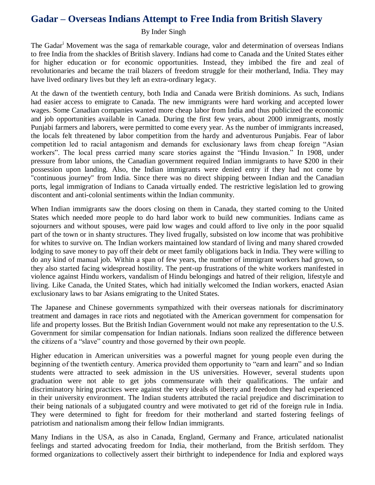### **Gadar – Overseas Indians Attempt to Free India from British Slavery**

#### By Inder Singh

The Gadar<sup>i</sup> Movement was the saga of remarkable courage, valor and determination of overseas Indians to free India from the shackles of British slavery. Indians had come to Canada and the United States either for higher education or for economic opportunities. Instead, they imbibed the fire and zeal of revolutionaries and became the trail blazers of freedom struggle for their motherland, India. They may have lived ordinary lives but they left an extra-ordinary legacy.

At the dawn of the twentieth century, both India and Canada were British dominions. As such, Indians had easier access to emigrate to Canada. The new immigrants were hard working and accepted lower wages. Some Canadian companies wanted more cheap labor from India and thus publicized the economic and job opportunities available in Canada. During the first few years, about 2000 immigrants, mostly Punjabi farmers and laborers, were permitted to come every year. As the number of immigrants increased, the locals felt threatened by labor competition from the hardy and adventurous Punjabis. Fear of labor competition led to racial antagonism and demands for exclusionary laws from cheap foreign "Asian workers". The local press carried many scare stories against the "Hindu Invasion." In 1908, under pressure from labor unions, the Canadian government required Indian immigrants to have \$200 in their possession upon landing. Also, the Indian immigrants were denied entry if they had not come by "continuous journey" from India. Since there was no direct shipping between Indian and the Canadian ports, legal immigration of Indians to Canada virtually ended. The restrictive legislation led to growing discontent and anti-colonial sentiments within the Indian community.

When Indian immigrants saw the doors closing on them in Canada, they started coming to the United States which needed more people to do hard labor work to build new communities. Indians came as sojourners and without spouses, were paid low wages and could afford to live only in the poor squalid part of the town or in shanty structures. They lived frugally, subsisted on low income that was prohibitive for whites to survive on. The Indian workers maintained low standard of living and many shared crowded lodging to save money to pay off their debt or meet family obligations back in India. They were willing to do any kind of manual job. Within a span of few years, the number of immigrant workers had grown, so they also started facing widespread hostility. The pent-up frustrations of the white workers manifested in violence against Hindu workers, vandalism of Hindu belongings and hatred of their religion, lifestyle and living. Like Canada, the United States, which had initially welcomed the Indian workers, enacted Asian exclusionary laws to bar Asians emigrating to the United States.

The Japanese and Chinese governments sympathized with their overseas nationals for discriminatory treatment and damages in race riots and negotiated with the American government for compensation for life and property losses. But the British Indian Government would not make any representation to the U.S. Government for similar compensation for Indian nationals. Indians soon realized the difference between the citizens of a "slave" country and those governed by their own people.

Higher education in American universities was a powerful magnet for young people even during the beginning of the twentieth century. America provided them opportunity to "earn and learn" and so Indian students were attracted to seek admission in the US universities. However, several students upon graduation were not able to get jobs commensurate with their qualifications. The unfair and discriminatory hiring practices were against the very ideals of liberty and freedom they had experienced in their university environment. The Indian students attributed the racial prejudice and discrimination to their being nationals of a subjugated country and were motivated to get rid of the foreign rule in India. They were determined to fight for freedom for their motherland and started fostering feelings of patriotism and nationalism among their fellow Indian immigrants.

Many Indians in the USA, as also in Canada, England, Germany and France, articulated nationalist feelings and started advocating freedom for India, their motherland, from the British serfdom. They formed organizations to collectively assert their birthright to independence for India and explored ways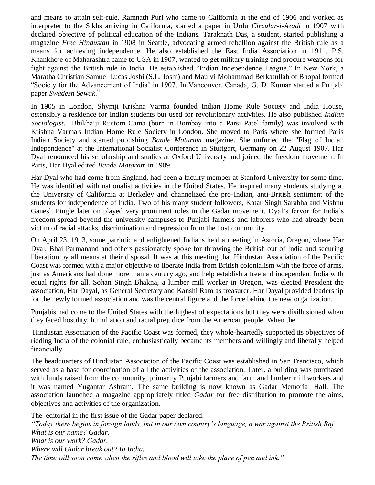and means to attain self-rule. Ramnath Puri who came to California at the end of 1906 and worked as interpreter to the Sikhs arriving in California, started a paper in Urdu *Circular-i-Azadi* in 1907 with declared objective of political education of the Indians. Taraknath Das, a student, started publishing a magazine *Free Hindustan* in 1908 in Seattle, advocating armed rebellion against the British rule as a means for achieving independence. He also established the East India Association in 1911. P.S. Khankhoje of Maharashtra came to USA in 1907, wanted to get military training and procure weapons for fight against the British rule in India. He established "Indian Independence League." In New York, a Maratha Christian Samuel Lucas Joshi (S.L. Joshi) and Maulvi Mohammad Berkatullah of Bhopal formed "Society for the Advancement of India" in 1907. In Vancouver, Canada, G. D. Kumar started a Punjabi paper *Swadesh Sewak*. ii

In 1905 in London, Shymji Krishna Varma founded Indian Home Rule Society and India House, ostensibly a residence for Indian students but used for revolutionary activities. He also published *Indian Sociologist*. Bhikhaiji Rustom Cama (born in Bombay into a Parsi Patel family) was involved with Krishna Varma's Indian Home Rule Society in London. She moved to Paris where she formed Paris Indian Society and started publishing *[Bande Mataram](http://en.wikipedia.org/wiki/Bande_Mataram_%28Paris_publication%29)* magazine. She unfurled the "Flag of Indian Independence" at the International Socialist Conference in Stuttgart, Germany on 22 August 1907. Har Dyal renounced his scholarship and studies at Oxford University and joined the freedom movement. In Paris, Har Dyal edited *Bande Mataram* in 1909.

Har Dyal who had come from England, had been a faculty member at Stanford University for some time. He was identified with nationalist activities in the United States. He inspired many students studying at the University of California at Berkeley and channelized the pro-Indian, anti-British sentiment of the students for independence of India. Two of his many student followers, Katar Singh Sarabha and Vishnu Ganesh Pingle later on played very prominent roles in the Gadar movement. Dyal"s fervor for India"s freedom spread beyond the university campuses to Punjabi farmers and laborers who had already been victim of racial attacks, discrimination and repression from the host community.

On April 23, 1913, some patriotic and enlightened Indians held a meeting in Astoria, Oregon, where Har Dyal, Bhai Parmanand and others passionately spoke for throwing the British out of India and securing liberation by all means at their disposal. It was at this meeting that Hindustan Association of the Pacific Coast was formed with a major objective to liberate India from British colonialism with the force of arms, just as Americans had done more than a century ago, and help establish a free and independent India with equal rights for all. Sohan Singh Bhakna, a lumber mill worker in Oregon, was elected President the association, Har Dayal, as General Secretary and Kanshi Ram as treasurer. Har Dayal provided leadership for the newly formed association and was the central figure and the force behind the new organization.

Punjabis had come to the United States with the highest of expectations but they were disillusioned when they faced hostility, humiliation and racial prejudice from the American people. When the

Hindustan Association of the Pacific Coast was formed, they whole-heartedly supported its objectives of ridding India of the colonial rule, enthusiastically became its members and willingly and liberally helped financially.

The headquarters of Hindustan Association of the Pacific Coast was established in San Francisco, which served as a base for coordination of all the activities of the association. Later, a building was purchased with funds raised from the community, primarily Punjabi farmers and farm and lumber mill workers and it was named Yugantar Ashram. The same building is now known as Gadar Memorial Hall. The association launched a magazine appropriately titled *Gadar* for free distribution to promote the aims, objectives and activities of the organization.

The editorial in the first issue of the Gadar paper declared: *"Today there begins in foreign lands, but in our own country's language, a war against the British Raj. What is our name? Gadar. What is our work? Gadar. Where will Gadar break out? In India. The time will soon come when the rifles and blood will take the place of pen and ink."*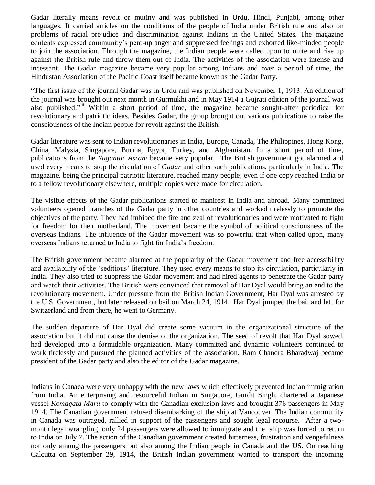Gadar literally means revolt or mutiny and was published in Urdu, Hindi, Punjabi, among other languages. It carried articles on the conditions of the people of India under British rule and also on problems of racial prejudice and discrimination against Indians in the United States. The magazine contents expressed community"s pent-up anger and suppressed feelings and exhorted like-minded people to join the association. Through the magazine, the Indian people were called upon to unite and rise up against the British rule and throw them out of India. The activities of the association were intense and incessant. The Gadar magazine became very popular among Indians and over a period of time, the Hindustan Association of the Pacific Coast itself became known as the Gadar Party.

"The first issue of the journal Gadar was in Urdu and was published on November 1, 1913. An edition of the journal was brought out next month in Gurmukhi and in May 1914 a Gujrati edition of the journal was also published."<sup>iii</sup> Within a short period of time, the magazine became sought-after periodical for revolutionary and patriotic ideas. Besides Gadar, the group brought out various publications to raise the consciousness of the Indian people for revolt against the British.

Gadar literature was sent to Indian revolutionaries in India, Europe, Canada, The Philippines, Hong Kong, China, Malysia, Singapore, Burma, Egypt, Turkey, and Afghanistan. In a short period of time, publications from the *Yugantar Asram* became very popular. The British government got alarmed and used every means to stop the circulation of *Gadar* and other such publications, particularly in India. The magazine, being the principal patriotic literature, reached many people; even if one copy reached India or to a fellow revolutionary elsewhere, multiple copies were made for circulation.

The visible effects of the Gadar publications started to manifest in India and abroad. Many committed volunteers opened branches of the Gadar party in other countries and worked tirelessly to promote the objectives of the party. They had imbibed the fire and zeal of revolutionaries and were motivated to fight for freedom for their motherland. The movement became the symbol of political consciousness of the overseas Indians. The influence of the Gadar movement was so powerful that when called upon, many overseas Indians returned to India to fight for India"s freedom.

The British government became alarmed at the popularity of the Gadar movement and free accessibility and availability of the "seditious" literature. They used every means to stop its circulation, particularly in India. They also tried to suppress the Gadar movement and had hired agents to penetrate the Gadar party and watch their activities. The British were convinced that removal of Har Dyal would bring an end to the revolutionary movement. Under pressure from the British Indian Government, Har Dyal was arrested by the U.S. Government, but later released on bail on March 24, 1914. Har Dyal jumped the bail and left for Switzerland and from there, he went to Germany.

The sudden departure of Har Dyal did create some vacuum in the organizational structure of the association but it did not cause the demise of the organization. The seed of revolt that Har Dyal sowed, had developed into a formidable organization. Many committed and dynamic volunteers continued to work tirelessly and pursued the planned activities of the association. Ram Chandra Bharadwaj became president of the Gadar party and also the editor of the Gadar magazine.

Indians in Canada were very unhappy with the new laws which effectively prevented Indian immigration from India. An enterprising and resourceful Indian in Singapore, Gurdit Singh, chartered a Japanese vessel *[Komagata Maru](http://www.thefullwiki.org/Komagata_Maru)* to comply with the Canadian exclusion laws and brought 376 passengers in May 1914. The Canadian government refused disembarking of the ship at Vancouver. The Indian community in Canada was outraged, rallied in support of the passengers and sought legal recourse. After a twomonth legal wrangling, only 24 passengers were allowed to immigrate and the ship was forced to return to India on July 7. The action of the Canadian government created bitterness, frustration and vengefulness not only among the passengers but also among the Indian people in Canada and the US. On reaching Calcutta on September 29, 1914, the British Indian government wanted to transport the incoming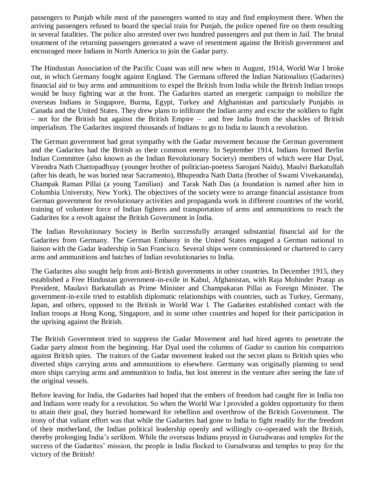passengers to Punjab while most of the passengers wanted to stay and find employment there. When the arriving passengers refused to board the special train for Punjab, the police opened fire on them resulting in several fatalities. The police also arrested over two hundred passengers and put them in Jail. The brutal treatment of the returning passengers generated a wave of resentment against the British government and encouraged more Indians in North America to join the Gadar party.

The Hindustan Association of the Pacific Coast was still new when in August, 1914, World War I broke out, in which Germany fought against England. The Germans offered the Indian Nationalists (Gadarites) financial aid to buy arms and ammunitions to expel the British from India while the British Indian troops would be busy fighting war at the front. The Gadarites started an energetic campaign to mobilize the overseas Indians in Singapore, Burma, Egypt, Turkey and Afghanistan and particularly Punjabis in Canada and the United States. They drew plans to infiltrate the Indian army and excite the soldiers to fight – not for the British but against the British Empire – and free India from the shackles of British imperialism. The Gadarites inspired thousands of Indians to go to India to launch a revolution.

The German government had great sympathy with the Gadar movement because the German government and the Gadarites had the British as their common enemy. In September 1914, Indians formed Berlin Indian Committee (also known as the Indian Revolutionary Society) members of which were Har Dyal, Virendra Nath Chattopadhyay (younger brother of politician-poetess Sarojani Naidu), Maulvi Barkatullah (after his death, he was buried near Sacramento), Bhupendra Nath Datta (brother of Swami Vivekananda), Champak Raman Pillai (a young Tamilian) and Tarak Nath Das (a foundation is named after him in Columbia University, New York). The objectives of the society were to arrange financial assistance from German government for revolutionary activities and propaganda work in different countries of the world, training of volunteer force of Indian fighters and transportation of arms and ammunitions to reach the Gadarites for a revolt against the British Government in India.

The Indian Revolutionary Society in Berlin successfully arranged substantial financial aid for the Gadarites from Germany. The German Embassy in the United States engaged a German national to liaison with the Gadar leadership in San Francisco. Several ships were commissioned or chartered to carry arms and ammunitions and batches of Indian revolutionaries to India.

The Gadarites also sought help from anti-British governments in other countries. In December 1915, they established a Free Hindustan government-in-exile in Kabul, Afghanistan, with Raja Mohinder Pratap as President, Maulavi Barkatullah as Prime Minister and Champakaran Pillai as Foreign Minister. The government-in-exile tried to establish diplomatic relationships with countries, such as Turkey, Germany, Japan, and others, opposed to the British in World War l. The Gadarites established contact with the Indian troops at Hong Kong, Singapore, and in some other countries and hoped for their participation in the uprising against the British.

The British Government tried to suppress the Gadar Movement and had hired agents to penetrate the Gadar party almost from the beginning. Har Dyal used the columns of *Gadar* to caution his compatriots against British spies. The traitors of the Gadar movement leaked out the secret plans to British spies who diverted ships carrying arms and ammunitions to elsewhere. Germany was originally planning to send more ships carrying arms and ammunition to India, but lost interest in the venture after seeing the fate of the original vessels.

Before leaving for India, the Gadarites had hoped that the embers of freedom had caught fire in India too and Indians were ready for a revolution. So when the World War l provided a golden opportunity for them to attain their goal, they hurried homeward for rebellion and overthrow of the British Government. The irony of that valiant effort was that while the Gadarites had gone to India to fight readily for the freedom of their motherland, the Indian political leadership openly and willingly co-operated with the British, thereby prolonging India"s serfdom. While the overseas Indians prayed in Gurudwaras and temples for the success of the Gadarites" mission, the people in India flocked to Gurudwaras and temples to pray for the victory of the British!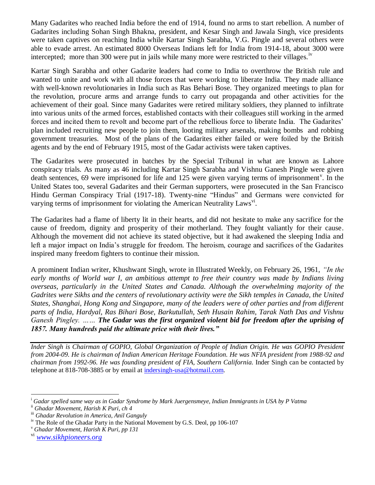Many Gadarites who reached India before the end of 1914, found no arms to start rebellion. A number of Gadarites including Sohan Singh Bhakna, president, and Kesar Singh and Jawala Singh, vice presidents were taken captives on reaching India while Kartar Singh Sarabha, V.G. Pingle and several others were able to evade arrest. An estimated 8000 Overseas Indians left for India from 1914-18, about 3000 were intercepted; more than 300 were put in jails while many more were restricted to their villages.<sup>iv</sup>

Kartar Singh Sarabha and other Gadarite leaders had come to India to overthrow the British rule and wanted to unite and work with all those forces that were working to liberate India. They made alliance with well-known revolutionaries in India such as Ras Behari Bose. They organized meetings to plan for the revolution, procure arms and arrange funds to carry out propaganda and other activities for the achievement of their goal. Since many Gadarites were retired military soldiers, they planned to infiltrate into various units of the armed forces, established contacts with their colleagues still working in the armed forces and incited them to revolt and become part of the rebellious force to liberate India. The Gadarites" plan included recruiting new people to join them, looting military arsenals, making bombs and robbing government treasuries. Most of the plans of the Gadarites either failed or were foiled by the British agents and by the end of February 1915, most of the Gadar activists were taken captives.

The Gadarites were prosecuted in batches by the Special Tribunal in what are known as Lahore conspiracy trials. As many as 46 including Kartar Singh Sarabha and Vishnu Ganesh Pingle were given death sentences, 69 were imprisoned for life and 125 were given varying terms of imprisonment<sup>v</sup>. In the United States too, several Gadarites and their German supporters, were prosecuted in the San Francisco Hindu German Conspiracy Trial (1917-18). Twenty-nine "Hindus" and Germans were convicted for varying terms of imprisonment for violating the American Neutrality Laws<sup>vi</sup>.

The Gadarites had a flame of liberty lit in their hearts, and did not hesitate to make any sacrifice for the cause of freedom, dignity and prosperity of their motherland. They fought valiantly for their cause. Although the movement did not achieve its stated objective, but it had awakened the sleeping India and left a major impact on India"s struggle for freedom. The heroism, courage and sacrifices of the Gadarites inspired many freedom fighters to continue their mission.

A prominent Indian writer, Khushwant Singh, wrote in Illustrated Weekly, on February 26, 1961, *"In the early months of World war I, an ambitious attempt to free their country was made by Indians living overseas, particularly in the United States and Canada. Although the overwhelming majority of the Gadrites were Sikhs and the centers of revolutionary activity were the Sikh temples in Canada, the United States, Shanghai, Hong Kong and Singapore, many of the leaders were of other parties and from different parts of India, Hardyal, Ras Bihari Bose, Barkutullah, Seth Husain Rahim, Tarak Nath Das and Vishnu Ganesh Pingley. …… The Gadar was the first organized violent bid for freedom after the uprising of 1857. Many hundreds paid the ultimate price with their lives."*

*Inder Singh is Chairman of GOPIO, Global Organization of People of Indian Origin. He was GOPIO President from 2004-09. He is chairman of Indian American Heritage Foundation. He was NFIA president from 1988-92 and chairman from 1992-96. He was founding president of FIA, Southern California*. Inder Singh can be contacted by telephone at 818-708-3885 or by email at [indersingh-usa@hotmail.com.](mailto:indersingh-usa@hotmail.com)

 $\overline{a}$ 

<sup>i</sup> *Gadar spelled same way as in Gadar Syndrome by Mark Juergensmeye, Indian Immigrants in USA by P Vatma* 

ii *Ghadar Movement, Harish K Puri, ch 4*

iii *Ghadar Revolution in America, Anil Ganguly*

iv The Role of the Ghadar Party in the National Movement by G.S. Deol, pp 106-107

<sup>v</sup> *Ghadar Movement, Harish K Puri, pp 131*

vi *[www.sikhpioneers.org](http://www.sikhpioneers.org/)*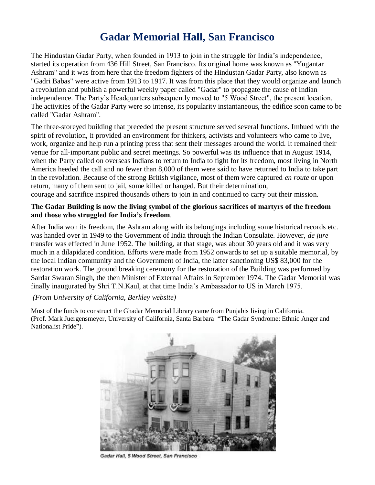# **Gadar Memorial Hall, San Francisco**

The Hindustan Gadar Party, when founded in 1913 to join in the struggle for India"s independence, started its operation from 436 Hill Street, San Francisco. Its original home was known as "Yugantar Ashram" and it was from here that the freedom fighters of the Hindustan Gadar Party, also known as "Gadri Babas" were active from 1913 to 1917. It was from this place that they would organize and launch a revolution and publish a powerful weekly paper called "Gadar" to propagate the cause of Indian independence. The Party"s Headquarters subsequently moved to "5 Wood Street", the present location. The activities of the Gadar Party were so intense, its popularity instantaneous, the edifice soon came to be called "Gadar Ashram".

The three-storeyed building that preceded the present structure served several functions. Imbued with the spirit of revolution, it provided an environment for thinkers, activists and volunteers who came to live, work, organize and help run a printing press that sent their messages around the world. It remained their venue for all-important public and secret meetings. So powerful was its influence that in August 1914, when the Party called on overseas Indians to return to India to fight for its freedom, most living in North America heeded the call and no fewer than 8,000 of them were said to have returned to India to take part in the revolution. Because of the strong British vigilance, most of them were captured *en route* or upon return, many of them sent to jail, some killed or hanged. But their determination, courage and sacrifice inspired thousands others to join in and continued to carry out their mission.

#### **The Gadar Building is now the living symbol of the glorious sacrifices of martyrs of the freedom and those who struggled for India's freedom**.

After India won its freedom, the Ashram along with its belongings including some historical records etc. was handed over in 1949 to the Government of India through the Indian Consulate. However, *de jure* transfer was effected in June 1952. The building, at that stage, was about 30 years old and it was very much in a dilapidated condition. Efforts were made from 1952 onwards to set up a suitable memorial, by the local Indian community and the Government of India, the latter sanctioning US\$ 83,000 for the restoration work. The ground breaking ceremony for the restoration of the Building was performed by Sardar Swaran Singh, the then Minister of External Affairs in September 1974. The Gadar Memorial was finally inaugurated by Shri T.N.Kaul, at that time India"s Ambassador to US in March 1975.

#### *(From University of California, Berkley website)*

 $\overline{a}$ 

Most of the funds to construct the Ghadar Memorial Library came from Punjabis living in California. (Prof. Mark Juergensmeyer, University of California, Santa Barbara "The Gadar Syndrome: Ethnic Anger and Nationalist Pride").



Gadar Hall, 5 Wood Street, San Francisco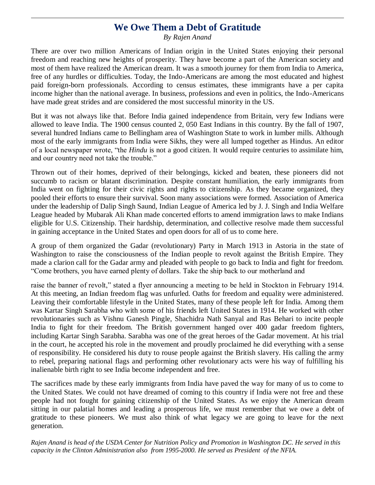### **We Owe Them a Debt of Gratitude**

 $\overline{a}$ 

*By Rajen Anand*

There are over two million Americans of Indian origin in the United States enjoying their personal freedom and reaching new heights of prosperity. They have become a part of the American society and most of them have realized the American dream. It was a smooth journey for them from India to America, free of any hurdles or difficulties. Today, the Indo-Americans are among the most educated and highest paid foreign-born professionals. According to census estimates, these immigrants have a per capita income higher than the national average. In business, professions and even in politics, the Indo-Americans have made great strides and are considered the most successful minority in the US.

But it was not always like that. Before India gained independence from Britain, very few Indians were allowed to leave India. The 1900 census counted 2, 050 East Indians in this country. By the fall of 1907, several hundred Indians came to Bellingham area of Washington State to work in lumber mills. Although most of the early immigrants from India were Sikhs, they were all lumped together as Hindus. An editor of a local newspaper wrote, "the *Hindu* is not a good citizen. It would require centuries to assimilate him, and our country need not take the trouble."

Thrown out of their homes, deprived of their belongings, kicked and beaten, these pioneers did not succumb to racism or blatant discrimination. Despite constant humiliation, the early immigrants from India went on fighting for their civic rights and rights to citizenship. As they became organized, they pooled their efforts to ensure their survival. Soon many associations were formed. Association of America under the leadership of Dalip Singh Saund, Indian League of America led by J. J. Singh and India Welfare League headed by Mubarak Ali Khan made concerted efforts to amend immigration laws to make Indians eligible for U.S. Citizenship. Their hardship, determination, and collective resolve made them successful in gaining acceptance in the United States and open doors for all of us to come here.

A group of them organized the Gadar (revolutionary) Party in March 1913 in Astoria in the state of Washington to raise the consciousness of the Indian people to revolt against the British Empire. They made a clarion call for the Gadar army and pleaded with people to go back to India and fight for freedom. "Come brothers, you have earned plenty of dollars. Take the ship back to our motherland and

raise the banner of revolt," stated a flyer announcing a meeting to be held in Stockton in February 1914. At this meeting, an Indian freedom flag was unfurled. Oaths for freedom and equality were administered. Leaving their comfortable lifestyle in the United States, many of these people left for India. Among them was Kartar Singh Sarabha who with some of his friends left United States in 1914. He worked with other revolutionaries such as Vishnu Ganesh Pingle, Shachidra Nath Sanyal and Ras Behari to incite people India to fight for their freedom. The British government hanged over 400 gadar freedom fighters, including Kartar Singh Sarabha. Sarabha was one of the great heroes of the Gadar movement. At his trial in the court, he accepted his role in the movement and proudly proclaimed he did everything with a sense of responsibility. He considered his duty to rouse people against the British slavery. His calling the army to rebel, preparing national flags and performing other revolutionary acts were his way of fulfilling his inalienable birth right to see India become independent and free.

The sacrifices made by these early immigrants from India have paved the way for many of us to come to the United States. We could not have dreamed of coming to this country if India were not free and these people had not fought for gaining citizenship of the United States. As we enjoy the American dream sitting in our palatial homes and leading a prosperous life, we must remember that we owe a debt of gratitude to these pioneers. We must also think of what legacy we are going to leave for the next generation.

*Rajen Anand is head of the USDA Center for Nutrition Policy and Promotion in Washington DC. He served in this capacity in the Clinton Administration also from 1995-2000. He served as President of the NFIA.*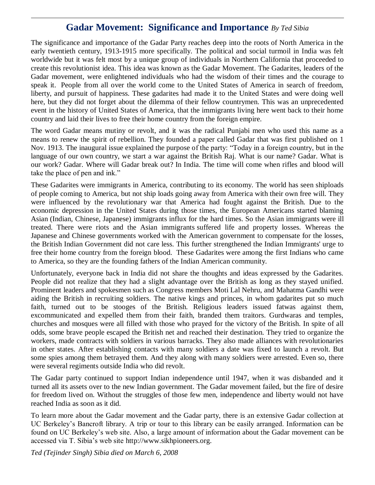## **Gadar Movement: Significance and Importance** *By Ted Sibia*

 $\overline{a}$ 

The significance and importance of the Gadar Party reaches deep into the roots of North America in the early twentieth century, 1913-1915 more specifically. The political and social turmoil in India was felt worldwide but it was felt most by a unique group of individuals in Northern California that proceeded to create this revolutionist idea. This idea was known as the Gadar Movement. The Gadarites, leaders of the Gadar movement, were enlightened individuals who had the wisdom of their times and the courage to speak it. People from all over the world come to the United States of America in search of freedom, liberty, and pursuit of happiness. These gadarites had made it to the United States and were doing well here, but they did not forget about the dilemma of their fellow countrymen. This was an unprecedented event in the history of United States of America, that the immigrants living here went back to their home country and laid their lives to free their home country from the foreign empire.

The word Gadar means mutiny or revolt, and it was the radical Punjabi men who used this name as a means to renew the spirit of rebellion. They founded a paper called Gadar that was first published on 1 Nov. 1913. The inaugural issue explained the purpose of the party: "Today in a foreign country, but in the language of our own country, we start a war against the British Raj. What is our name? Gadar. What is our work? Gadar. Where will Gadar break out? In India. The time will come when rifles and blood will take the place of pen and ink."

These Gadarites were immigrants in America, contributing to its economy. The world has seen shiploads of people coming to America, but not ship loads going away from America with their own free will. They were influenced by the revolutionary war that America had fought against the British. Due to the economic depression in the United States during those times, the European Americans started blaming Asian (Indian, Chinese, Japanese) immigrants influx for the hard times. So the Asian immigrants were ill treated. There were riots and the Asian immigrants suffered life and property losses. Whereas the Japanese and Chinese governments worked with the American government to compensate for the losses, the British Indian Government did not care less. This further strengthened the Indian Immigrants' urge to free their home country from the foreign blood. These Gadarites were among the first Indians who came to America, so they are the founding fathers of the Indian American community.

Unfortunately, everyone back in India did not share the thoughts and ideas expressed by the Gadarites. People did not realize that they had a slight advantage over the British as long as they stayed unified. Prominent leaders and spokesmen such as Congress members Moti Lal Nehru, and Mahatma Gandhi were aiding the British in recruiting soldiers. The native kings and princes, in whom gadarites put so much faith, turned out to be stooges of the British. Religious leaders issued fatwas against them, excommunicated and expelled them from their faith, branded them traitors. Gurdwaras and temples, churches and mosques were all filled with those who prayed for the victory of the British. In spite of all odds, some brave people escaped the British net and reached their destination. They tried to organize the workers, made contracts with soldiers in various barracks. They also made alliances with revolutionaries in other states. After establishing contacts with many soldiers a date was fixed to launch a revolt. But some spies among them betrayed them. And they along with many soldiers were arrested. Even so, there were several regiments outside India who did revolt.

The Gadar party continued to support Indian independence until 1947, when it was disbanded and it turned all its assets over to the new Indian government. The Gadar movement failed, but the fire of desire for freedom lived on. Without the struggles of those few men, independence and liberty would not have reached India as soon as it did.

To learn more about the Gadar movement and the Gadar party, there is an extensive Gadar collection at UC Berkeley"s Bancroft library. A trip or tour to this library can be easily arranged. Information can be found on UC Berkeley"s web site. Also, a large amount of information about the Gadar movement can be accessed via T. Sibia"s web site http://www.sikhpioneers.org.

*Ted (Tejinder Singh) Sibia died on March 6, 2008*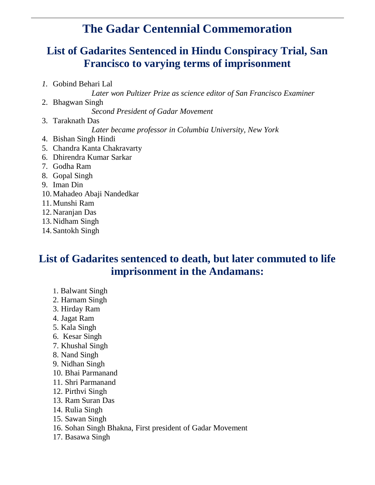# **The Gadar Centennial Commemoration**

# **List of Gadarites Sentenced in Hindu Conspiracy Trial, San Francisco to varying terms of imprisonment**

*1.* Gobind Behari Lal *Later won Pultizer Prize as science editor of San Francisco Examiner*  2. Bhagwan Singh *Second President of Gadar Movement* 3. Taraknath Das *Later became professor in Columbia University, New York* 4. Bishan Singh Hindi 5. Chandra Kanta Chakravarty 6. Dhirendra Kumar Sarkar 7. Godha Ram 8. Gopal Singh 9. Iman Din 10.Mahadeo Abaji Nandedkar 11.Munshi Ram 12.Naranjan Das 13.Nidham Singh 14.Santokh Singh

# **List of Gadarites sentenced to death, but later commuted to life imprisonment in the Andamans:**

- 1. Balwant Singh
- 2. Harnam Singh
- 3. Hirday Ram
- 4. Jagat Ram

 $\overline{a}$ 

- 5. Kala Singh
- 6. Kesar Singh
- 7. Khushal Singh
- 8. Nand Singh
- 9. Nidhan Singh
- 10. Bhai Parmanand
- 11. Shri Parmanand
- 12. Pirthvi Singh
- 13. Ram Suran Das
- 14. Rulia Singh
- 15. Sawan Singh
- 16. Sohan Singh Bhakna, First president of Gadar Movement
- 17. Basawa Singh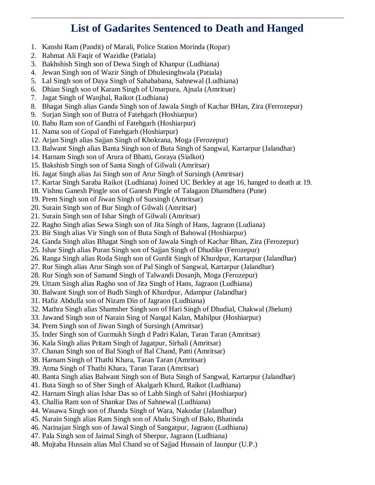# **List of Gadarites Sentenced to Death and Hanged**

- 1. Kanshi Ram (Pandit) of Marali, Police Station Morinda (Ropar)
- 2. Rahmat Ali Faqir of Wazidke (Patiala)

 $\overline{a}$ 

- 3. Bakhshish Singh son of Dewa Singh of Khanpur (Ludhiana)
- 4. Jewan Singh son of Wazir Singh of Dhulesinghwala (Patiala)
- 5. Lal Singh son of Daya Singh of Sahababana, Sahnewal (Ludhiana)
- 6. Dhian Singh son of Karam Singh of Umarpura, Ajnala (Amritsar)
- 7. Jagat Singh of Wanjhal, Raikot (Ludhiana)
- 8. Bhagat Singh alias Ganda Singh son of Jawala Singh of Kachar BHan, Zira (Ferrozepur)
- 9. Surjan Singh son of Butra of Fatehgarh (Hoshiarpur)
- 10. Babu Ram son of Gandhi of Fatehgarh (Hoshiarpur)
- 11. Nama son of Gopal of Fatehgarh (Hoshiarpur)
- 12. Arjan Singh alias Sajjan Singh of Khokrana, Moga (Ferozepur)
- 13. Balwant Singh alias Banta Singh son of Buta Singh of Sangwal, Kartarpur (Jalandhar)
- 14. Harnam Singh son of Arura of Bhatti, Goraya (Sialkot)
- 15. Bakshish Singh son of Santa Singh of Gilwali (Amritsar)
- 16. Jagat Singh alias Jai Singh son of Arur Singh of Sursingh (Amritsar)
- 17. [Kartar Singh Saraba](http://gadar.homestead.com/Sarabha.html) Raikot (Ludhiana) Joined UC Berkley at age 16, hanged to death at 19.
- 18. Vishnu Ganesh Pingle son of Ganesh Pingle of Talagaon Dhamdhera (Pune)
- 19. Prem Singh son of Jiwan Singh of Sursingh (Amritsar)
- 20. Surain Singh son of Bur Singh of Gilwali (Amritsar)
- 21. Surain Singh son of Ishar Singh of Gilwali (Amritsar)
- 22. Ragho Singh alias Sewa Singh son of Jita Singh of Hans, Jagraon (Ludiana)
- 23. Bir Singh alias Vir Singh son of Buta Singh of Bahowal (Hoshiarpur)
- 24. Ganda Singh alias Bhagat Singh son of Jawala Singh of Kachar Bhan, Zira (Ferozepur)
- 25. Ishar Singh alias Puran Singh son of Sajjan Singh of Dhudike (Ferozepur)
- 26. Ranga Singh alias Roda Singh son of Gurdit Singh of Khurdpur, Kartarpur (Jalandhar)
- 27. Rur Singh alias Arur Singh son of Pal Singh of Sangwal, Kartarpur (Jalandhar)
- 28. Rur Singh son of Samand Singh of Talwandi Dosanjh, Moga (Ferozepur)
- 29. Uttam Singh alias Ragho son of Jita Singh of Hans, Jagraon (Ludhiana)
- 30. Balwant Singh son of Budh Singh of Khurdpur, Adampur (Jalandhar)
- 31. Hafiz Abdulla son of Nizam Din of Jagraon (Ludhiana)
- 32. Mathra Singh alias Shamsher Singh son of Hari Singh of Dhudial, Chakwal (Jhelum)
- 33. Jawand Singh son of Narain Sing of Nangal Kalan, Mahilpur (Hoshiarpur)
- 34. Prem Singh son of Jiwan Singh of Sursingh (Amritsar)
- 35. Inder Singh son of Gurmukh Singh d Padri Kalan, Taran Taran (Amritsar)
- 36. Kala Singh alias Pritam Singh of Jagatpur, Sirhali (Amritsar)
- 37. Chanan Singh son of Bal Singh of Bal Chand, Patti (Amritsar)
- 38. Harnam Singh of Thathi Khara, Taran Taran (Amritsar)
- 39. Atma Singh of Thathi Khara, Taran Taran (Amritsar)
- 40. Banta Singh alias Balwant Singh son of Buta Singh of Sangwal, Kartarpur (Jalandhar)
- 41. Buta Singh so of Sher Singh of Akalgarh Khurd, Raikot (Ludhiana)
- 42. Harnam Singh alias Ishar Das so of Labh Singh of Sahri (Hoshiarpur)
- 43. Challia Ram son of Shankar Das of Sahnewal (Ludhiana)
- 44. Wasawa Singh son of Jhanda Singh of Wara, Nakodar (Jalandhar)
- 45. Narain Singh alias Ram Singh son of Abalu Singh of Balo, Bhatinda
- 46. Narinajan Singh son of Jawal Singh of Sangatpur, Jagraon (Ludhiana)
- 47. Pala Singh son of Jaimal Singh of Sherpur, Jagraon (Ludhiana)
- 48. Mujtaba Hussain alias Mul Chand so of Sajjad Hussain of Jaunpur (U.P.)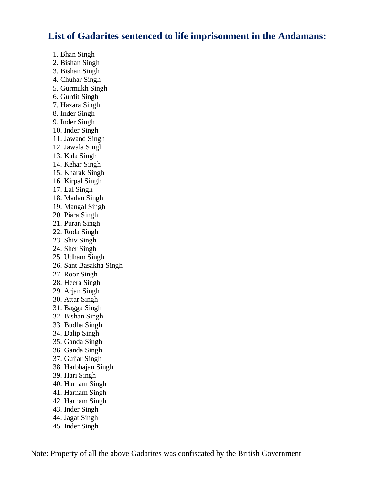### **List of Gadarites sentenced to life imprisonment in the Andamans:**

1. Bhan Singh

 $\overline{a}$ 

- 2. Bishan Singh
- 3. Bishan Singh
- 4. Chuhar Singh
- 5. Gurmukh Singh
- 6. Gurdit Singh
- 7. Hazara Singh
- 8. Inder Singh
- 9. Inder Singh
- 10. Inder Singh
- 11. Jawand Singh
- 12. Jawala Singh
- 13. Kala Singh
- 14. Kehar Singh
- 15. Kharak Singh
- 16. Kirpal Singh
- 17. Lal Singh
- 18. Madan Singh
- 19. Mangal Singh
- 20. Piara Singh
- 21. Puran Singh
- 22. Roda Singh
- 23. Shiv Singh
- 24. Sher Singh
- 25. Udham Singh
- 26. Sant Basakha Singh
- 27. Roor Singh
- 28. Heera Singh
- 29. Arjan Singh
- 30. Attar Singh
- 31. Bagga Singh
- 32. Bishan Singh
- 33. Budha Singh
- 34. Dalip Singh
- 35. Ganda Singh
- 36. Ganda Singh
- 37. Gujjar Singh
- 38. Harbhajan Singh
- 39. Hari Singh
- 40. Harnam Singh
- 41. Harnam Singh
- 42. Harnam Singh
- 43. Inder Singh
- 44. Jagat Singh
- 45. Inder Singh

Note: Property of all the above Gadarites was confiscated by the British Government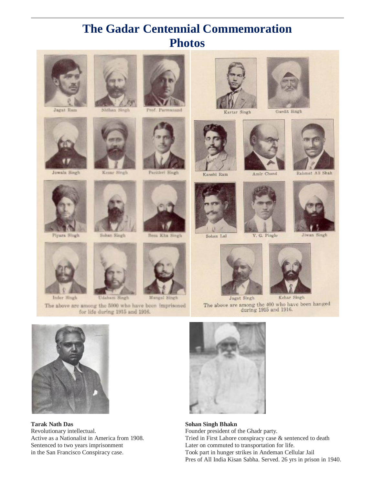# **The Gadar Centennial Commemoration Photos**



 $\overline{a}$ 

Jagat Ram





Piyara Singh

Inder Singh



Nidhan Singh





Sohan Singh

Udanam Singh

The above are among the 5000 who have been imprisoned for life during 1915 and 1916.







Bess Kha Singh

Mangal Singh











Sohan Lal



Gurdit Singh



Jiwan Singh



Kehar Singh Jagat Singh The above are among the  $400$  who have been hanged during  $1915$  and  $1916.$ 



**Tarak Nath Das Sohan Singh Bhakn** Revolutionary intellectual. Founder president of the Ghadr party. Sentenced to two years imprisonment Later on commuted to transportation for life.



Active as a Nationalist in America from 1908. Tried in First Lahore conspiracy case & sentenced to death in the San Francisco Conspiracy case. Took part in hunger strikes in Andeman Cellular Jail Pres of All India Kisan Sabha. Served. 26 yrs in prison in 1940.







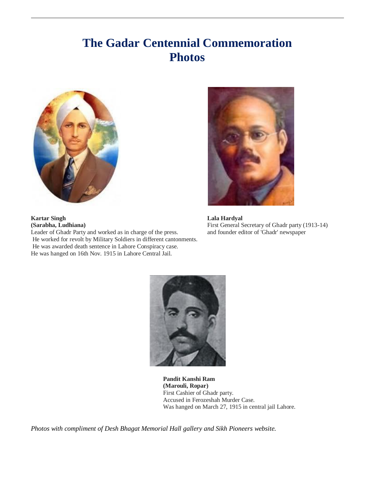# **The Gadar Centennial Commemoration Photos**



**(Sarabha, Ludhiana)** First General Secretary of Ghadr party (1913-14)



**Pandit Kanshi Ram (Marouli, Ropar)** First Cashier of Ghadr party. Accused in Ferozeshah Murder Case. Was hanged on March 27, 1915 in central jail Lahore.

*Photos with compliment of Desh Bhagat Memorial Hall gallery and Sikh Pioneers website.*

**Kartar Singh Lala Hardyal**

 $\overline{a}$ 

Leader of Ghadr Party and worked as in charge of the press. and founder editor of 'Ghadr' newspaper He worked for revolt by Military Soldiers in different cantonments. He was awarded death sentence in Lahore Conspiracy case. He was hanged on 16th Nov. 1915 in Lahore Central Jail.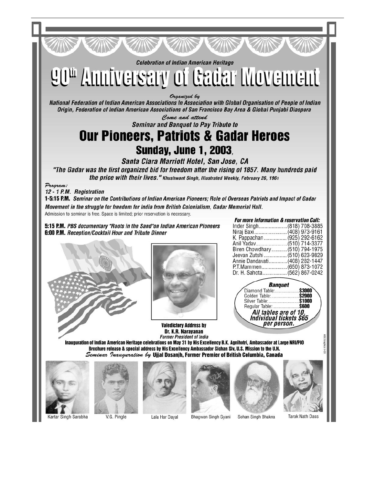**Celebration of Indian American Heritage** 

90th Amniversary of Gadar Movement

Organized by

National Federation of Indian American Associations In Association with Global Organisation of People of Indian Origin, Federation of Indian American Associations of San Francisco Bay Area & Global Punjabi Diaspora

Come and attend **Seminar and Banquet to Pay Tribute to** 

# **Our Pioneers, Patriots & Gadar Heroes Sunday, June 1, 2003**

Santa Clara Marriott Hotel, San Jose, CA "The Gadar was the first organized bid for freedom after the rising of 1857. Many hundreds paid the price with their lives." Khushwant Singh, Illustrated Weekly, February 26, 1961

Program:

12 - 1 P.M. Registration

1-5:15 P.M. Seminar on the Contributions of Indian American Pioneers; Role of Overseas Patriots and Impact of Gadar Movement in the struggle for freedom for India from British Colonialism, Gadar Memorial Hall. Admission to seminar is free. Space is limited; prior reservation is necessary.

5:15 P.M. PBS documentary "Roots in the Sand"on Indian American Pioneers 6:00 P.M. Reception/Cocktail Hour and Tribute Dinner





**Valedictory Address by** Dr. K.R. Narayanan **Former President of India** 

| <b>For more information &amp; reservation Call:</b> |  |
|-----------------------------------------------------|--|
| Inder Singh(818) 708-3885                           |  |
| Niraj Baxi(408) 973-9161                            |  |
| K. Pappachan  (925) 292-6162                        |  |
| Anil Yadav(510) 714-3377                            |  |
| Biren Chowdhary(510) 794-1975                       |  |
| Jeevan Zutshi  (510) 623-9829                       |  |
| Annie Dandavati(408) 282-1447                       |  |
| P.T.Mammen(650) 873-1072                            |  |
| Dr. H. Sahota (562) 867-0242                        |  |
|                                                     |  |



Inauguration of Indian American Heritage celebrations on May 31 by His Excellency B.K. Agnihotri, Ambassador at Large NRI/PIO Brochure release & special address by His Excellency Ambassador Sichan Siv, U.S. Mission to the U.N. Seminar *Inauguration by* Ujjal Dosanjh, Former Premier of British Columbia, Canada





Lala Har Dayal





Bhagwan Singh Gyani Sohan Singh Bhakna **Tarak Nath Dass**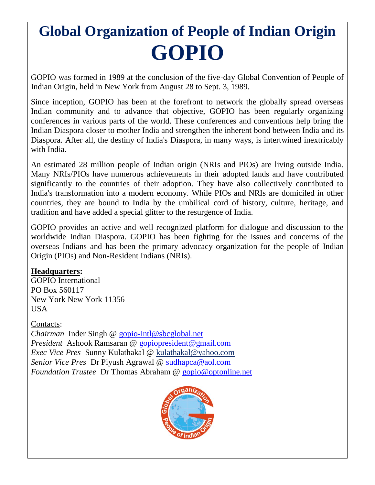# **Global Organization of People of Indian Origin GOPIO**

GOPIO was formed in 1989 at the conclusion of the five-day Global Convention of People of Indian Origin, held in New York from August 28 to Sept. 3, 1989.

Since inception, GOPIO has been at the forefront to network the globally spread overseas Indian community and to advance that objective, GOPIO has been regularly organizing conferences in various parts of the world. These conferences and conventions help bring the Indian Diaspora closer to mother India and strengthen the inherent bond between India and its Diaspora. After all, the destiny of India's Diaspora, in many ways, is intertwined inextricably with India.

An estimated 28 million people of Indian origin (NRIs and PIOs) are living outside India. Many NRIs/PIOs have numerous achievements in their adopted lands and have contributed significantly to the countries of their adoption. They have also collectively contributed to India's transformation into a modern economy. While PIOs and NRIs are domiciled in other countries, they are bound to India by the umbilical cord of history, culture, heritage, and tradition and have added a special glitter to the resurgence of India.

GOPIO provides an active and well recognized platform for dialogue and discussion to the worldwide Indian Diaspora. GOPIO has been fighting for the issues and concerns of the overseas Indians and has been the primary advocacy organization for the people of Indian Origin (PIOs) and Non-Resident Indians (NRIs).

### **Headquarters:**

GOPIO International PO Box 560117 New York New York 11356 USA

Contacts:

 $\overline{a}$ 

*Chairman* Inder Singh @ [gopio-intl@sbcglobal.net](mailto:gopio-intl@sbcglobal.net) *President* Ashook Ramsaran @ [gopiopresident@gmail.com](mailto:gopiopresident@gmail.com) *Exec Vice Pres* Sunny Kulathakal @ kul[athakal@yahoo.com](mailto:thakal@yahoo.com) *Senior Vice Pres* Dr Piyush Agrawal @ [sudhapca@aol.com](mailto:sudhapca@aol.com) *Foundation Trustee* Dr Thomas Abraham @ [gopio@optonline.net](mailto:gopio@optonline.net)

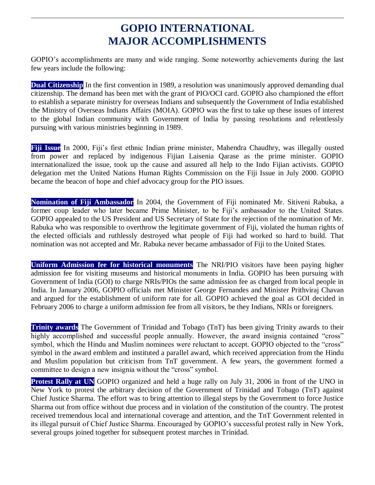# **GOPIO INTERNATIONAL MAJOR ACCOMPLISHMENTS**

 $\overline{a}$ 

GOPIO"s accomplishments are many and wide ranging. Some noteworthy achievements during the last few years include the following:

**Dual Citizenship** In the first convention in 1989, a resolution was unanimously approved demanding dual citizenship. The demand has been met with the grant of PIO/OCI card. GOPIO also championed the effort to establish a separate ministry for overseas Indians and subsequently the Government of India established the Ministry of Overseas Indians Affairs (MOIA). GOPIO was the first to take up these issues of interest to the global Indian community with Government of India by passing resolutions and relentlessly pursuing with various ministries beginning in 1989.

**Fiji Issue** In 2000, Fiji"s first ethnic Indian prime minister, Mahendra Chaudhry, was illegally ousted from power and replaced by indigenous Fijian Laisenia Qarase as the prime minister. GOPIO internationalized the issue, took up the cause and assured all help to the Indo Fijian activists. GOPIO delegation met the United Nations Human Rights Commission on the Fiji Issue in July 2000. GOPIO became the beacon of hope and chief advocacy group for the PIO issues.

**Nomination of Fiji Ambassador** In 2004, the Government of Fiji nominated Mr. Sitiveni Rabuka, a former coup leader who later became Prime Minister, to be Fiji's ambassador to the United States. GOPIO appealed to the US President and US Secretary of State for the rejection of the nomination of Mr. Rabuka who was responsible to overthrow the legitimate government of Fiji, violated the human rights of the elected officials and ruthlessly destroyed what people of Fiji had worked so hard to build. That nomination was not accepted and Mr. Rabuka never became ambassador of Fiji to the United States.

**Uniform Admission fee for historical monuments** The NRI/PIO visitors have been paying higher admission fee for visiting museums and historical monuments in India. GOPIO has been pursuing with Government of India (GOI) to charge NRIs/PIOs the same admission fee as charged from local people in India. In January 2006, GOPIO officials met Minister George Fernandes and Minister Prithviraj Chavan and argued for the establishment of uniform rate for all. GOPIO achieved the goal as GOI decided in February 2006 to charge a uniform admission fee from all visitors, be they Indians, NRIs or foreigners.

**Trinity awards** The Government of Trinidad and Tobago (TnT) has been giving Trinity awards to their highly accomplished and successful people annually. However, the award insignia contained "cross" symbol, which the Hindu and Muslim nominees were reluctant to accept. GOPIO objected to the "cross" symbol in the award emblem and instituted a parallel award, which received appreciation from the Hindu and Muslim population but criticism from TnT government. A few years, the government formed a committee to design a new insignia without the "cross" symbol.

**Protest Rally at UN** GOPIO organized and held a huge rally on July 31, 2006 in front of the UNO in New York to protest the arbitrary decision of the Government of Trinidad and Tobago (TnT) against Chief Justice Sharma. The effort was to bring attention to illegal steps by the Government to force Justice Sharma out from office without due process and in violation of the constitution of the country. The protest received tremendous local and international coverage and attention, and the TnT Government relented in its illegal pursuit of Chief Justice Sharma. Encouraged by GOPIO"s successful protest rally in New York, several groups joined together for subsequent protest marches in Trinidad.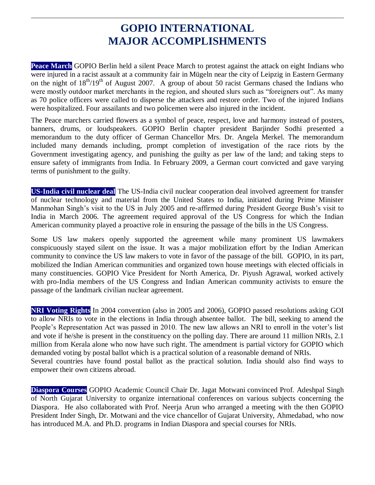# **GOPIO INTERNATIONAL MAJOR ACCOMPLISHMENTS**

 $\overline{a}$ 

**Peace March** GOPIO Berlin held a silent Peace March to protest against the attack on eight Indians who were injured in a racist assault at a community fair in Mügeln near the city of Leipzig in Eastern Germany on the night of  $18^{th}/19^{th}$  of August 2007. A group of about 50 racist Germans chased the Indians who were mostly outdoor market merchants in the region, and shouted slurs such as "foreigners out". As many as 70 police officers were called to disperse the attackers and restore order. Two of the injured Indians were hospitalized. Four assailants and two policemen were also injured in the incident.

The Peace marchers carried flowers as a symbol of peace, respect, love and harmony instead of posters, banners, drums, or loudspeakers. GOPIO Berlin chapter president Barjinder Sodhi presented a memorandum to the duty officer of German Chancellor Mrs. Dr. Angela Merkel. The memorandum included many demands including, prompt completion of investigation of the race riots by the Government investigating agency, and punishing the guilty as per law of the land; and taking steps to ensure safety of immigrants from India. In February 2009, a German court convicted and gave varying terms of punishment to the guilty.

**US-India civil nuclear deal** The US-India civil nuclear cooperation deal involved agreement for transfer of nuclear technology and material from the United States to India, initiated during Prime Minister Manmohan Singh"s visit to the US in July 2005 and re-affirmed during President George Bush"s visit to India in March 2006. The agreement required approval of the US Congress for which the Indian American community played a proactive role in ensuring the passage of the bills in the US Congress.

Some US law makers openly supported the agreement while many prominent US lawmakers conspicuously stayed silent on the issue. It was a major mobilization effort by the Indian American community to convince the US law makers to vote in favor of the passage of the bill. GOPIO, in its part, mobilized the Indian American communities and organized town house meetings with elected officials in many constituencies. GOPIO Vice President for North America, Dr. Piyush Agrawal, worked actively with pro-India members of the US Congress and Indian American community activists to ensure the passage of the landmark civilian nuclear agreement.

**NRI Voting Rights** In 2004 convention (also in 2005 and 2006), GOPIO passed resolutions asking GOI to allow NRIs to vote in the elections in India through absentee ballot. The bill, seeking to amend the People's Representation Act was passed in 2010. The new law allows an NRI to enroll in the voter's list and vote if he/she is present in the constituency on the polling day. There are around 11 million NRIs, 2.1 million from Kerala alone who now have such right. The amendment is partial victory for GOPIO which demanded voting by postal ballot which is a practical solution of a reasonable demand of NRIs. Several countries have found postal ballot as the practical solution. India should also find ways to empower their own citizens abroad.

**Diaspora Courses** GOPIO Academic Council Chair Dr. Jagat Motwani convinced Prof. Adeshpal Singh of North Gujarat University to organize international conferences on various subjects concerning the Diaspora. He also collaborated with Prof. Neerja Arun who arranged a meeting with the then GOPIO President Inder Singh, Dr. Motwani and the vice chancellor of Gujarat University, Ahmedabad, who now has introduced M.A. and Ph.D. programs in Indian Diaspora and special courses for NRIs.